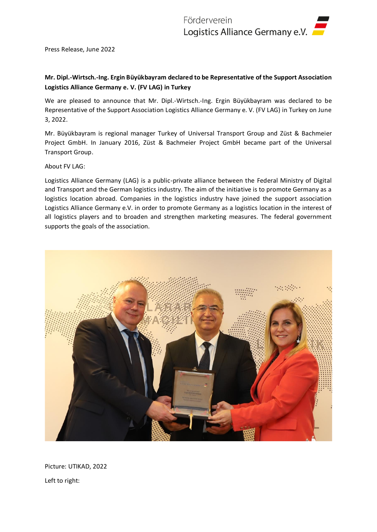Press Release, June 2022

## **Mr. Dipl.-Wirtsch.-Ing. Ergin Büyükbayram declared to be Representative of the Support Association Logistics Alliance Germany e. V. (FV LAG) in Turkey**

We are pleased to announce that Mr. Dipl.-Wirtsch.-Ing. Ergin Büyükbayram was declared to be Representative of the Support Association Logistics Alliance Germany e. V. (FV LAG) in Turkey on June 3, 2022.

Mr. Büyükbayram is regional manager Turkey of Universal Transport Group and Züst & Bachmeier Project GmbH. In January 2016, Züst & Bachmeier Project GmbH became part of the Universal Transport Group.

## About FV LAG:

Logistics Alliance Germany (LAG) is a public-private alliance between the Federal Ministry of Digital and Transport and the German logistics industry. The aim of the initiative is to promote Germany as a logistics location abroad. Companies in the logistics industry have joined the support association Logistics Alliance Germany e.V. in order to promote Germany as a logistics location in the interest of all logistics players and to broaden and strengthen marketing measures. The federal government supports the goals of the association.



Picture: UTIKAD, 2022 Left to right: